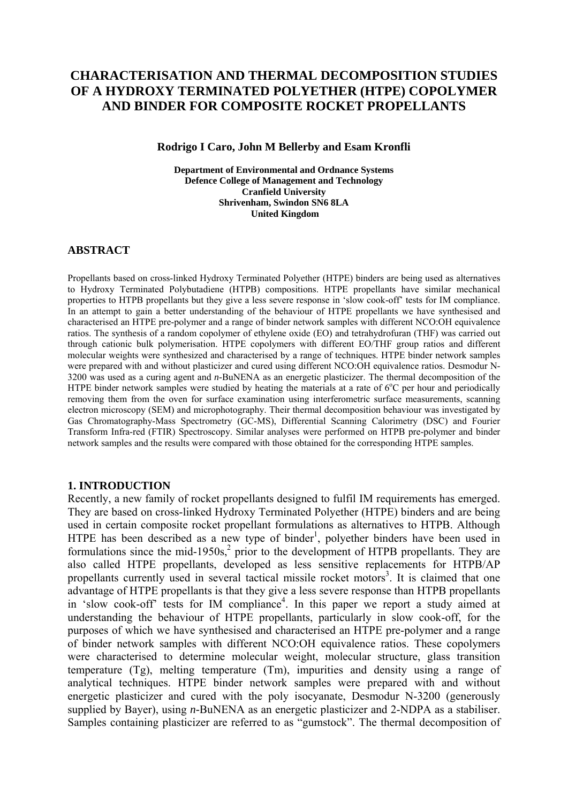# **CHARACTERISATION AND THERMAL DECOMPOSITION STUDIES OF A HYDROXY TERMINATED POLYETHER (HTPE) COPOLYMER AND BINDER FOR COMPOSITE ROCKET PROPELLANTS**

#### **Rodrigo I Caro, John M Bellerby and Esam Kronfli**

**Department of Environmental and Ordnance Systems Defence College of Management and Technology Cranfield University Shrivenham, Swindon SN6 8LA United Kingdom** 

## **ABSTRACT**

Propellants based on cross-linked Hydroxy Terminated Polyether (HTPE) binders are being used as alternatives to Hydroxy Terminated Polybutadiene (HTPB) compositions. HTPE propellants have similar mechanical properties to HTPB propellants but they give a less severe response in 'slow cook-off' tests for IM compliance. In an attempt to gain a better understanding of the behaviour of HTPE propellants we have synthesised and characterised an HTPE pre-polymer and a range of binder network samples with different NCO:OH equivalence ratios. The synthesis of a random copolymer of ethylene oxide (EO) and tetrahydrofuran (THF) was carried out through cationic bulk polymerisation. HTPE copolymers with different EO/THF group ratios and different molecular weights were synthesized and characterised by a range of techniques. HTPE binder network samples were prepared with and without plasticizer and cured using different NCO:OH equivalence ratios. Desmodur N-3200 was used as a curing agent and *n-*BuNENA as an energetic plasticizer. The thermal decomposition of the HTPE binder network samples were studied by heating the materials at a rate of 6°C per hour and periodically removing them from the oven for surface examination using interferometric surface measurements, scanning electron microscopy (SEM) and microphotography. Their thermal decomposition behaviour was investigated by Gas Chromatography-Mass Spectrometry (GC-MS), Differential Scanning Calorimetry (DSC) and Fourier Transform Infra-red (FTIR) Spectroscopy. Similar analyses were performed on HTPB pre-polymer and binder network samples and the results were compared with those obtained for the corresponding HTPE samples.

#### **1. INTRODUCTION**

Recently, a new family of rocket propellants designed to fulfil IM requirements has emerged. They are based on cross-linked Hydroxy Terminated Polyether (HTPE) binders and are being used in certain composite rocket propellant formulations as alternatives to HTPB. Although HTPE has been described as a new type of binder<sup>1</sup>, polyether binders have been used in formulations since the mid-1950s, $^2$  prior to the development of HTPB propellants. They are also called HTPE propellants, developed as less sensitive replacements for HTPB/AP propellants currently used in several tactical missile rocket motors<sup>3</sup>. It is claimed that one advantage of HTPE propellants is that they give a less severe response than HTPB propellants in 'slow cook-off' tests for IM compliance<sup>4</sup>. In this paper we report a study aimed at understanding the behaviour of HTPE propellants, particularly in slow cook-off, for the purposes of which we have synthesised and characterised an HTPE pre-polymer and a range of binder network samples with different NCO:OH equivalence ratios. These copolymers were characterised to determine molecular weight, molecular structure, glass transition temperature (Tg), melting temperature (Tm), impurities and density using a range of analytical techniques. HTPE binder network samples were prepared with and without energetic plasticizer and cured with the poly isocyanate, Desmodur N-3200 (generously supplied by Bayer), using *n-*BuNENA as an energetic plasticizer and 2-NDPA as a stabiliser. Samples containing plasticizer are referred to as "gumstock". The thermal decomposition of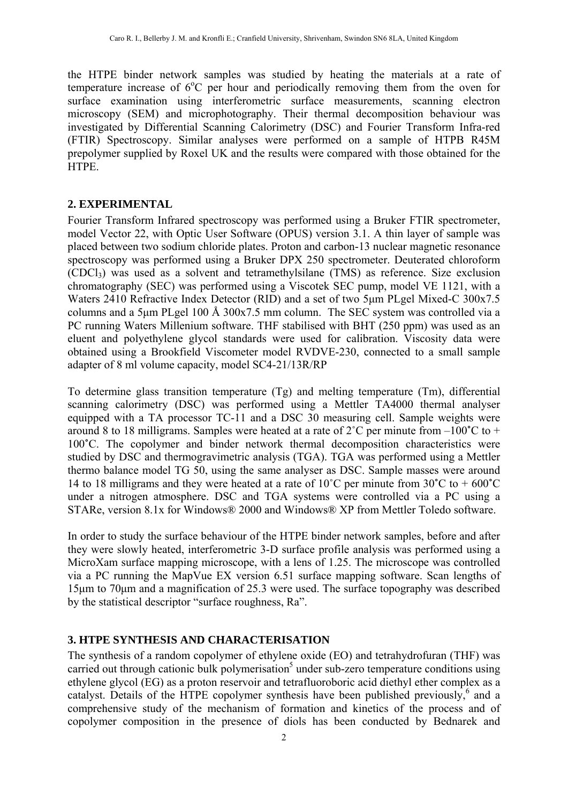the HTPE binder network samples was studied by heating the materials at a rate of temperature increase of 6°C per hour and periodically removing them from the oven for surface examination using interferometric surface measurements, scanning electron microscopy (SEM) and microphotography. Their thermal decomposition behaviour was investigated by Differential Scanning Calorimetry (DSC) and Fourier Transform Infra-red (FTIR) Spectroscopy. Similar analyses were performed on a sample of HTPB R45M prepolymer supplied by Roxel UK and the results were compared with those obtained for the HTPE.

# **2. EXPERIMENTAL**

Fourier Transform Infrared spectroscopy was performed using a Bruker FTIR spectrometer, model Vector 22, with Optic User Software (OPUS) version 3.1. A thin layer of sample was placed between two sodium chloride plates. Proton and carbon-13 nuclear magnetic resonance spectroscopy was performed using a Bruker DPX 250 spectrometer. Deuterated chloroform (CDCl3) was used as a solvent and tetramethylsilane (TMS) as reference. Size exclusion chromatography (SEC) was performed using a Viscotek SEC pump, model VE 1121, with a Waters 2410 Refractive Index Detector (RID) and a set of two 5um PLgel Mixed-C 300x7.5 columns and a 5μm PLgel 100 Å 300x7.5 mm column. The SEC system was controlled via a PC running Waters Millenium software. THF stabilised with BHT (250 ppm) was used as an eluent and polyethylene glycol standards were used for calibration. Viscosity data were obtained using a Brookfield Viscometer model RVDVE-230, connected to a small sample adapter of 8 ml volume capacity, model SC4-21/13R/RP

To determine glass transition temperature (Tg) and melting temperature (Tm), differential scanning calorimetry (DSC) was performed using a Mettler TA4000 thermal analyser equipped with a TA processor TC-11 and a DSC 30 measuring cell. Sample weights were around 8 to 18 milligrams. Samples were heated at a rate of 2˚C per minute from –100**˚**C to + 100**˚**C. The copolymer and binder network thermal decomposition characteristics were studied by DSC and thermogravimetric analysis (TGA). TGA was performed using a Mettler thermo balance model TG 50, using the same analyser as DSC. Sample masses were around 14 to 18 milligrams and they were heated at a rate of 10˚C per minute from 30**˚**C to + 600**˚**C under a nitrogen atmosphere. DSC and TGA systems were controlled via a PC using a STARe, version 8.1x for Windows® 2000 and Windows® XP from Mettler Toledo software.

In order to study the surface behaviour of the HTPE binder network samples, before and after they were slowly heated, interferometric 3-D surface profile analysis was performed using a MicroXam surface mapping microscope, with a lens of 1.25. The microscope was controlled via a PC running the MapVue EX version 6.51 surface mapping software. Scan lengths of 15μm to 70μm and a magnification of 25.3 were used. The surface topography was described by the statistical descriptor "surface roughness, Ra".

# **3. HTPE SYNTHESIS AND CHARACTERISATION**

The synthesis of a random copolymer of ethylene oxide (EO) and tetrahydrofuran (THF) was carried out through cationic bulk polymerisation<sup>5</sup> under sub-zero temperature conditions using ethylene glycol (EG) as a proton reservoir and tetrafluoroboric acid diethyl ether complex as a catalyst. Details of the HTPE copolymer synthesis have been published previously,<sup>6</sup> and a comprehensive study of the mechanism of formation and kinetics of the process and of copolymer composition in the presence of diols has been conducted by Bednarek and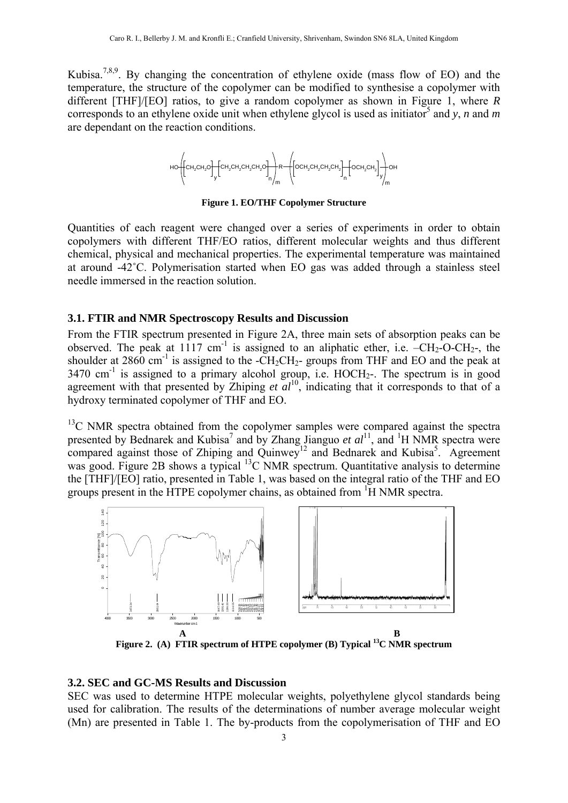Kubisa.<sup>7,8,9</sup>. By changing the concentration of ethylene oxide (mass flow of EO) and the temperature, the structure of the copolymer can be modified to synthesise a copolymer with different [THF]/[EO] ratios, to give a random copolymer as shown in Figure 1, where *R* corresponds to an ethylene oxide unit when ethylene glycol is used as initiator<sup>5</sup> and y, *n* and *m* are dependant on the reaction conditions.



**Figure 1. EO/THF Copolymer Structure** 

Quantities of each reagent were changed over a series of experiments in order to obtain copolymers with different THF/EO ratios, different molecular weights and thus different chemical, physical and mechanical properties. The experimental temperature was maintained at around -42˚C. Polymerisation started when EO gas was added through a stainless steel needle immersed in the reaction solution.

#### **3.1. FTIR and NMR Spectroscopy Results and Discussion**

From the FTIR spectrum presented in Figure 2A, three main sets of absorption peaks can be observed. The peak at 1117 cm<sup>-1</sup> is assigned to an aliphatic ether, i.e.  $-CH_2-O-CH_2$ -, the shoulder at 2860 cm<sup>-1</sup> is assigned to the -CH<sub>2</sub>CH<sub>2</sub>- groups from THF and EO and the peak at  $3470 \text{ cm}^{-1}$  is assigned to a primary alcohol group, i.e. HOCH<sub>2</sub>-. The spectrum is in good agreement with that presented by Zhiping *et al*<sup>10</sup>, indicating that it corresponds to that of a hydroxy terminated copolymer of THF and EO.

<sup>13</sup>C NMR spectra obtained from the copolymer samples were compared against the spectra presented by Bednarek and Kubisa<sup>7</sup> and by Zhang Jianguo *et al*<sup>11</sup>, and <sup>1</sup>H NMR spectra were compared against those of Zhiping and Quinwey<sup>12</sup> and Bednarek and Kubisa<sup>5</sup>. Agreement was good. Figure 2B shows a typical  $^{13}$ C NMR spectrum. Quantitative analysis to determine the [THF]/[EO] ratio, presented in Table 1, was based on the integral ratio of the THF and EO groups present in the HTPE copolymer chains, as obtained from <sup>1</sup>H NMR spectra.



Figure 2. (A) FTIR spectrum of HTPE copolymer (B) Typical <sup>13</sup>C NMR spectrum

#### **3.2. SEC and GC-MS Results and Discussion**

SEC was used to determine HTPE molecular weights, polyethylene glycol standards being used for calibration. The results of the determinations of number average molecular weight (Mn) are presented in Table 1. The by-products from the copolymerisation of THF and EO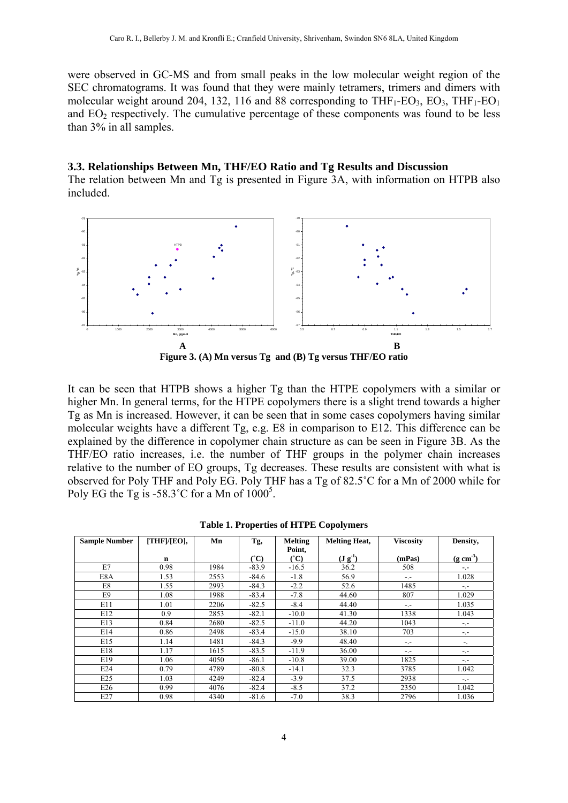were observed in GC-MS and from small peaks in the low molecular weight region of the SEC chromatograms. It was found that they were mainly tetramers, trimers and dimers with molecular weight around 204, 132, 116 and 88 corresponding to  $THF_1-EO_3$ ,  $EO_3$ ,  $THF_1-EO_1$ and  $EO<sub>2</sub>$  respectively. The cumulative percentage of these components was found to be less than 3% in all samples.

#### **3.3. Relationships Between Mn, THF/EO Ratio and Tg Results and Discussion**

The relation between Mn and Tg is presented in Figure 3A, with information on HTPB also included.





It can be seen that HTPB shows a higher Tg than the HTPE copolymers with a similar or higher Mn. In general terms, for the HTPE copolymers there is a slight trend towards a higher Tg as Mn is increased. However, it can be seen that in some cases copolymers having similar molecular weights have a different Tg, e.g. E8 in comparison to E12. This difference can be explained by the difference in copolymer chain structure as can be seen in Figure 3B. As the THF/EO ratio increases, i.e. the number of THF groups in the polymer chain increases relative to the number of EO groups, Tg decreases. These results are consistent with what is observed for Poly THF and Poly EG. Poly THF has a Tg of 82.5˚C for a Mn of 2000 while for Poly EG the Tg is -58.3°C for a Mn of  $1000^5$ .

| <b>Sample Number</b> | [THF]/[EO], | Mn   | Tg,                    | <b>Melting</b>         | <b>Melting Heat,</b>        | <b>Viscosity</b> | Density,              |
|----------------------|-------------|------|------------------------|------------------------|-----------------------------|------------------|-----------------------|
|                      |             |      |                        | Point,                 |                             |                  |                       |
|                      | n           |      | $\mathbf{C}^{\bullet}$ | $\mathbf{C}^{\bullet}$ | $({\bf J} \, {\bf g}^{-1})$ | (mPas)           | $(g \text{ cm}^{-3})$ |
| E7                   | 0.98        | 1984 | $-83.9$                | $-16.5$                | 36.2                        | 508              | $-1$                  |
| E8A                  | 1.53        | 2553 | $-84.6$                | $-1.8$                 | 56.9                        | $-1$             | 1.028                 |
| E8                   | 1.55        | 2993 | $-84.3$                | $-2.2$                 | 52.6                        | 1485             | $-1$                  |
| E9                   | 1.08        | 1988 | $-83.4$                | $-7.8$                 | 44.60                       | 807              | 1.029                 |
| E11                  | 1.01        | 2206 | $-82.5$                | $-8.4$                 | 44.40                       | $-1$             | 1.035                 |
| E12                  | 0.9         | 2853 | $-82.1$                | $-10.0$                | 41.30                       | 1338             | 1.043                 |
| E13                  | 0.84        | 2680 | $-82.5$                | $-11.0$                | 44.20                       | 1043             | $-1$                  |
| E14                  | 0.86        | 2498 | $-83.4$                | $-15.0$                | 38.10                       | 703              | -.-                   |
| E15                  | 1.14        | 1481 | $-84.3$                | $-9.9$                 | 48.40                       | -.-              | Ξ.                    |
| E18                  | 1.17        | 1615 | $-83.5$                | $-11.9$                | 36.00                       | $-1$             | -.-                   |
| E19                  | 1.06        | 4050 | $-86.1$                | $-10.8$                | 39.00                       | 1825             | -.-                   |
| E24                  | 0.79        | 4789 | $-80.8$                | $-14.1$                | 32.3                        | 3785             | 1.042                 |
| E25                  | 1.03        | 4249 | $-82.4$                | $-3.9$                 | 37.5                        | 2938             | $-1$                  |
| E26                  | 0.99        | 4076 | $-82.4$                | $-8.5$                 | 37.2                        | 2350             | 1.042                 |
| E27                  | 0.98        | 4340 | $-81.6$                | $-7.0$                 | 38.3                        | 2796             | 1.036                 |

|  |  |  | <b>Table 1. Properties of HTPE Copolymers</b> |
|--|--|--|-----------------------------------------------|
|--|--|--|-----------------------------------------------|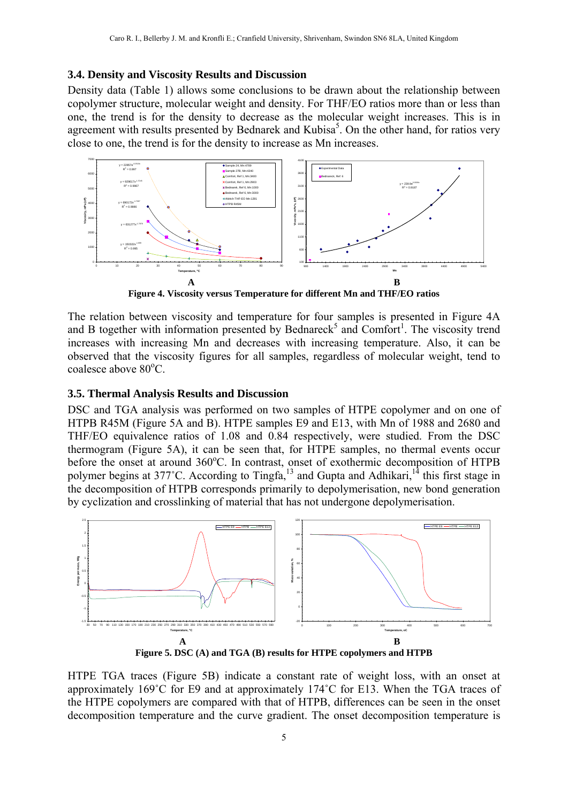#### **3.4. Density and Viscosity Results and Discussion**

Density data (Table 1) allows some conclusions to be drawn about the relationship between copolymer structure, molecular weight and density. For THF/EO ratios more than or less than one, the trend is for the density to decrease as the molecular weight increases. This is in agreement with results presented by Bednarek and Kubisa<sup>5</sup>. On the other hand, for ratios very close to one, the trend is for the density to increase as Mn increases.



**Figure 4. Viscosity versus Temperature for different Mn and THF/EO ratios** 

The relation between viscosity and temperature for four samples is presented in Figure 4A and B together with information presented by Bednareck<sup>5</sup> and Comfort<sup>1</sup>. The viscosity trend increases with increasing Mn and decreases with increasing temperature. Also, it can be observed that the viscosity figures for all samples, regardless of molecular weight, tend to coalesce above 80°C.

#### **3.5. Thermal Analysis Results and Discussion**

DSC and TGA analysis was performed on two samples of HTPE copolymer and on one of HTPB R45M (Figure 5A and B). HTPE samples E9 and E13, with Mn of 1988 and 2680 and THF/EO equivalence ratios of 1.08 and 0.84 respectively, were studied. From the DSC thermogram (Figure 5A), it can be seen that, for HTPE samples, no thermal events occur before the onset at around 360°C. In contrast, onset of exothermic decomposition of HTPB polymer begins at 377°C. According to Tingfa,<sup>13</sup> and Gupta and Adhikari,<sup>14</sup> this first stage in the decomposition of HTPB corresponds primarily to depolymerisation, new bond generation by cyclization and crosslinking of material that has not undergone depolymerisation.



HTPE TGA traces (Figure 5B) indicate a constant rate of weight loss, with an onset at approximately 169˚C for E9 and at approximately 174˚C for E13. When the TGA traces of the HTPE copolymers are compared with that of HTPB, differences can be seen in the onset decomposition temperature and the curve gradient. The onset decomposition temperature is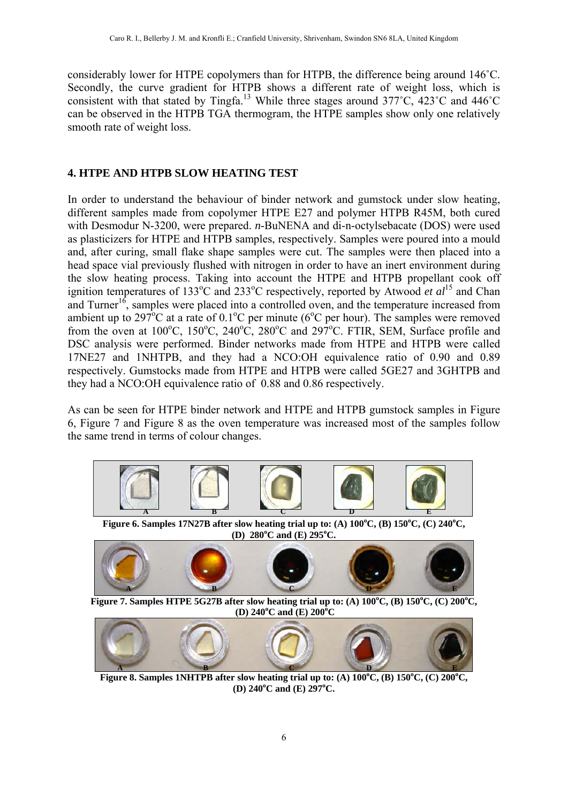considerably lower for HTPE copolymers than for HTPB, the difference being around 146˚C. Secondly, the curve gradient for HTPB shows a different rate of weight loss, which is consistent with that stated by Tingfa.<sup>13</sup> While three stages around  $377^{\circ}$ C,  $423^{\circ}$ C and  $446^{\circ}$ C can be observed in the HTPB TGA thermogram, the HTPE samples show only one relatively smooth rate of weight loss.

# **4. HTPE AND HTPB SLOW HEATING TEST**

In order to understand the behaviour of binder network and gumstock under slow heating, different samples made from copolymer HTPE E27 and polymer HTPB R45M, both cured with Desmodur N-3200, were prepared. *n*-BuNENA and di-n-octylsebacate (DOS) were used as plasticizers for HTPE and HTPB samples, respectively. Samples were poured into a mould and, after curing, small flake shape samples were cut. The samples were then placed into a head space vial previously flushed with nitrogen in order to have an inert environment during the slow heating process. Taking into account the HTPE and HTPB propellant cook off ignition temperatures of 133<sup>o</sup>C and 233<sup>o</sup>C respectively, reported by Atwood *et al*<sup>15</sup> and Chan and Turner<sup>16</sup>, samples were placed into a controlled oven, and the temperature increased from ambient up to 297<sup>o</sup>C at a rate of 0.1<sup>o</sup>C per minute (6<sup>o</sup>C per hour). The samples were removed from the oven at  $100^{\circ}$ C,  $150^{\circ}$ C,  $240^{\circ}$ C,  $280^{\circ}$ C and  $297^{\circ}$ C. FTIR, SEM, Surface profile and DSC analysis were performed. Binder networks made from HTPE and HTPB were called 17NE27 and 1NHTPB, and they had a NCO:OH equivalence ratio of 0.90 and 0.89 respectively. Gumstocks made from HTPE and HTPB were called 5GE27 and 3GHTPB and they had a NCO:OH equivalence ratio of 0.88 and 0.86 respectively.

As can be seen for HTPE binder network and HTPE and HTPB gumstock samples in Figure 6, Figure 7 and Figure 8 as the oven temperature was increased most of the samples follow the same trend in terms of colour changes.



**Figure 6. Samples 17N27B after slow heating trial up to: (A)**  $100^{\circ}$ **C, (B)**  $150^{\circ}$ **C, (C)**  $240^{\circ}$ **C, (D) 280<sup>o</sup> C and (E) 295<sup>o</sup> C.** 



**Figure 7. Samples HTPE 5G27B after slow heating trial up to: (A)**  $100^{\circ}$ **C, (B)**  $150^{\circ}$ **C, (C)**  $200^{\circ}$ **C, (D)** 240<sup>°</sup>**C** and **(E)** 200<sup><sup>°</sup>**C**</sup>



**Figure 8. Samples 1NHTPB after slow heating trial up to: (A)**  $100^{\circ}$ **C, (B)**  $150^{\circ}$ **C, (C)**  $200^{\circ}$ **C, (D) 240<sup>o</sup> C and (E) 297<sup>o</sup> C.**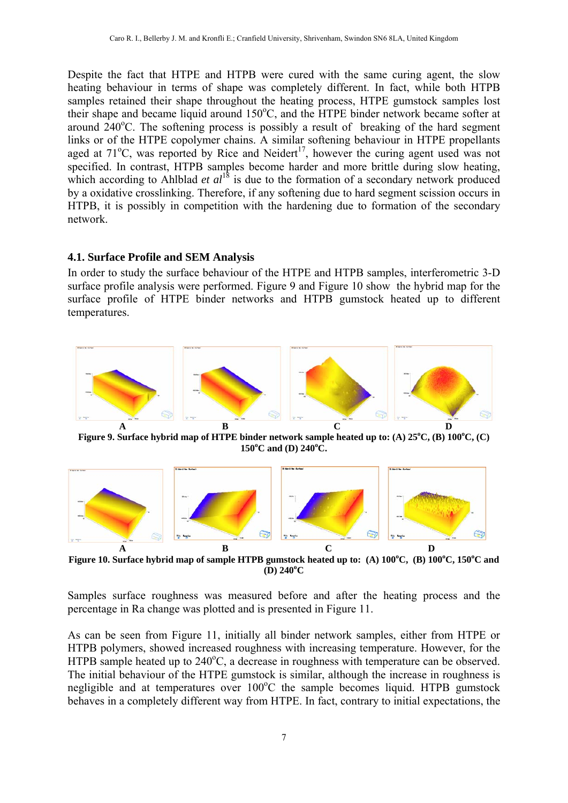Despite the fact that HTPE and HTPB were cured with the same curing agent, the slow heating behaviour in terms of shape was completely different. In fact, while both HTPB samples retained their shape throughout the heating process, HTPE gumstock samples lost their shape and became liquid around 150°C, and the HTPE binder network became softer at around  $240^{\circ}$ C. The softening process is possibly a result of breaking of the hard segment links or of the HTPE copolymer chains. A similar softening behaviour in HTPE propellants aged at  $71^{\circ}$ C, was reported by Rice and Neidert<sup>17</sup>, however the curing agent used was not specified. In contrast, HTPB samples become harder and more brittle during slow heating, which according to Ahlblad *et al*<sup>18</sup> is due to the formation of a secondary network produced by a oxidative crosslinking. Therefore, if any softening due to hard segment scission occurs in HTPB, it is possibly in competition with the hardening due to formation of the secondary network.

#### **4.1. Surface Profile and SEM Analysis**

In order to study the surface behaviour of the HTPE and HTPB samples, interferometric 3-D surface profile analysis were performed. Figure 9 and Figure 10 show the hybrid map for the surface profile of HTPE binder networks and HTPB gumstock heated up to different temperatures.



Figure 9. Surface hybrid map of HTPE binder network sample heated up to: (A)  $25^{\circ}$ C, (B)  $100^{\circ}$ C, (C) **150<sup>o</sup> C and (D) 240<sup>o</sup> C.** 



Figure 10. Surface hybrid map of sample HTPB gumstock heated up to: (A)  $100^{\circ}$ C, (B)  $100^{\circ}$ C,  $150^{\circ}$ C and **(D) 240<sup>o</sup> C** 

Samples surface roughness was measured before and after the heating process and the percentage in Ra change was plotted and is presented in Figure 11.

As can be seen from Figure 11, initially all binder network samples, either from HTPE or HTPB polymers, showed increased roughness with increasing temperature. However, for the HTPB sample heated up to  $240^{\circ}$ C, a decrease in roughness with temperature can be observed. The initial behaviour of the HTPE gumstock is similar, although the increase in roughness is negligible and at temperatures over 100°C the sample becomes liquid. HTPB gumstock behaves in a completely different way from HTPE. In fact, contrary to initial expectations, the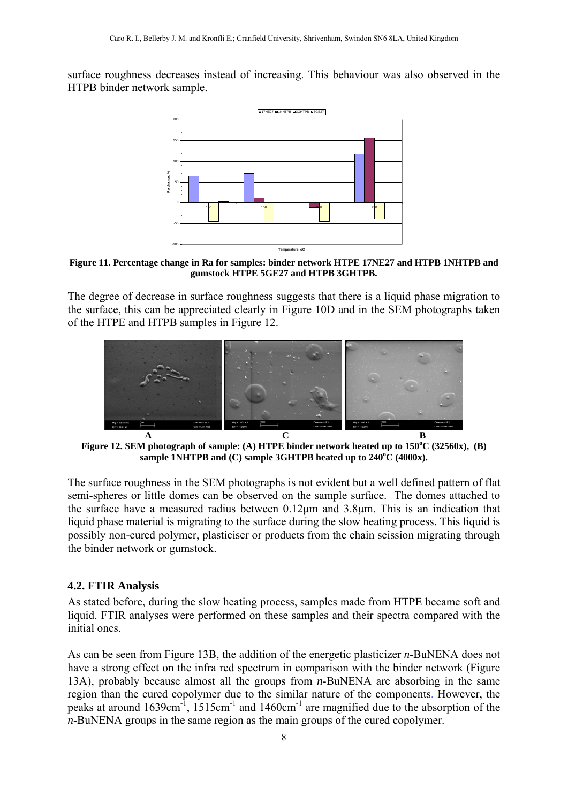surface roughness decreases instead of increasing. This behaviour was also observed in the HTPB binder network sample.



**Figure 11. Percentage change in Ra for samples: binder network HTPE 17NE27 and HTPB 1NHTPB and gumstock HTPE 5GE27 and HTPB 3GHTPB.** 

The degree of decrease in surface roughness suggests that there is a liquid phase migration to the surface, this can be appreciated clearly in Figure 10D and in the SEM photographs taken of the HTPE and HTPB samples in Figure 12.



Figure 12. SEM photograph of sample: (A) HTPE binder network heated up to  $150^{\circ}$ C (32560x), (B) sample 1NHTPB and (C) sample 3GHTPB heated up to 240<sup>o</sup>C (4000x).

The surface roughness in the SEM photographs is not evident but a well defined pattern of flat semi-spheres or little domes can be observed on the sample surface. The domes attached to the surface have a measured radius between 0.12μm and 3.8μm. This is an indication that liquid phase material is migrating to the surface during the slow heating process. This liquid is possibly non-cured polymer, plasticiser or products from the chain scission migrating through the binder network or gumstock.

## **4.2. FTIR Analysis**

As stated before, during the slow heating process, samples made from HTPE became soft and liquid. FTIR analyses were performed on these samples and their spectra compared with the initial ones.

As can be seen from Figure 13B, the addition of the energetic plasticizer *n*-BuNENA does not have a strong effect on the infra red spectrum in comparison with the binder network (Figure 13A), probably because almost all the groups from *n*-BuNENA are absorbing in the same region than the cured copolymer due to the similar nature of the components. However, the peaks at around 1639cm<sup>-1</sup>, 1515cm<sup>-1</sup> and 1460cm<sup>-1</sup> are magnified due to the absorption of the *n*-BuNENA groups in the same region as the main groups of the cured copolymer.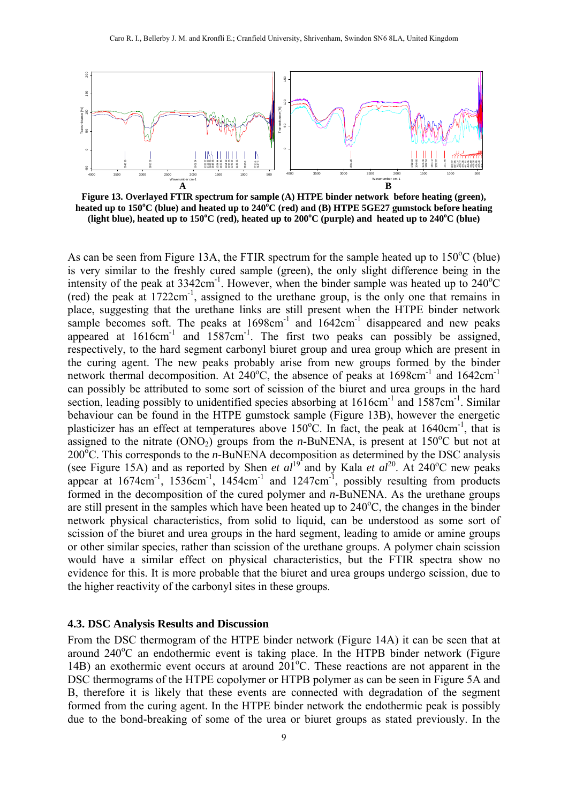

**Figure 13. Overlayed FTIR spectrum for sample (A) HTPE binder network before heating (green),**  heated up to 150°C (blue) and heated up to 240°C (red) and (B) HTPE 5GE27 gumstock before heating (light blue), heated up to 150°C (red), heated up to 200°C (purple) and heated up to 240°C (blue)

As can be seen from Figure 13A, the FTIR spectrum for the sample heated up to  $150^{\circ}$ C (blue) is very similar to the freshly cured sample (green), the only slight difference being in the intensity of the peak at  $3342 \text{cm}^{-1}$ . However, when the binder sample was heated up to  $240^{\circ}$ C  $(\text{red})$  the peak at 1722cm<sup>-1</sup>, assigned to the urethane group, is the only one that remains in place, suggesting that the urethane links are still present when the HTPE binder network sample becomes soft. The peaks at  $1698 \text{cm}^{-1}$  and  $1642 \text{cm}^{-1}$  disappeared and new peaks appeared at 1616cm<sup>-1</sup> and 1587cm<sup>-1</sup>. The first two peaks can possibly be assigned, respectively, to the hard segment carbonyl biuret group and urea group which are present in the curing agent. The new peaks probably arise from new groups formed by the binder network thermal decomposition. At  $240^{\circ}$ C, the absence of peaks at  $1698$ cm<sup>-1</sup> and  $1642$ cm<sup>-1</sup> can possibly be attributed to some sort of scission of the biuret and urea groups in the hard section, leading possibly to unidentified species absorbing at  $1616 \text{cm}^{-1}$  and  $1587 \text{cm}^{-1}$ . Similar behaviour can be found in the HTPE gumstock sample (Figure 13B), however the energetic plasticizer has an effect at temperatures above  $150^{\circ}$ C. In fact, the peak at  $1640$ cm<sup>-1</sup>, that is assigned to the nitrate  $(ONO<sub>2</sub>)$  groups from the *n*-BuNENA, is present at 150<sup>o</sup>C but not at 200<sup>o</sup>C. This corresponds to the *n*-BuNENA decomposition as determined by the DSC analysis (see Figure 15A) and as reported by Shen *et al*<sup>19</sup> and by Kala *et al*<sup>20</sup>. At 240<sup>o</sup>C new peaks appear at  $1674 \text{cm}^{-1}$ ,  $1536 \text{cm}^{-1}$ ,  $1454 \text{cm}^{-1}$  and  $1247 \text{cm}^{-1}$ , possibly resulting from products formed in the decomposition of the cured polymer and *n*-BuNENA. As the urethane groups are still present in the samples which have been heated up to  $240^{\circ}$ C, the changes in the binder network physical characteristics, from solid to liquid, can be understood as some sort of scission of the biuret and urea groups in the hard segment, leading to amide or amine groups or other similar species, rather than scission of the urethane groups. A polymer chain scission would have a similar effect on physical characteristics, but the FTIR spectra show no evidence for this. It is more probable that the biuret and urea groups undergo scission, due to the higher reactivity of the carbonyl sites in these groups.

#### **4.3. DSC Analysis Results and Discussion**

From the DSC thermogram of the HTPE binder network (Figure 14A) it can be seen that at around  $240^{\circ}$ C an endothermic event is taking place. In the HTPB binder network (Figure 14B) an exothermic event occurs at around 201<sup>o</sup>C. These reactions are not apparent in the DSC thermograms of the HTPE copolymer or HTPB polymer as can be seen in Figure 5A and B, therefore it is likely that these events are connected with degradation of the segment formed from the curing agent. In the HTPE binder network the endothermic peak is possibly due to the bond-breaking of some of the urea or biuret groups as stated previously. In the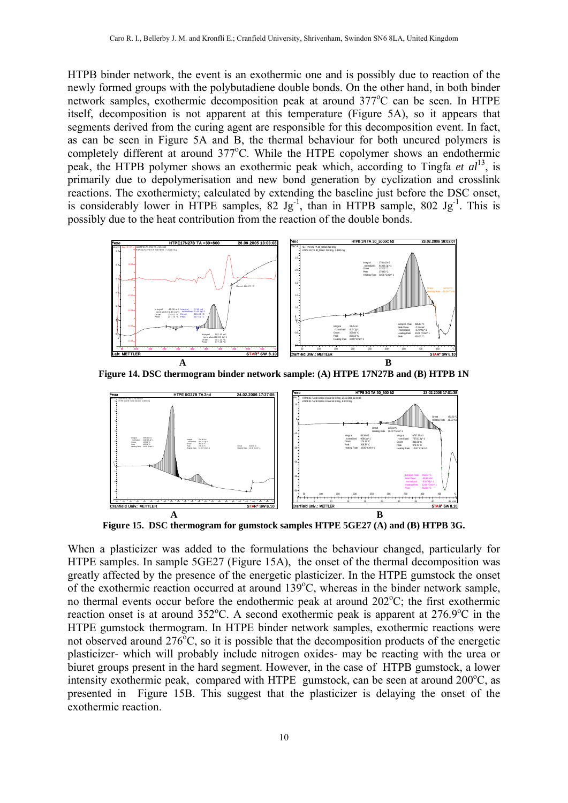HTPB binder network, the event is an exothermic one and is possibly due to reaction of the newly formed groups with the polybutadiene double bonds. On the other hand, in both binder network samples, exothermic decomposition peak at around 377°C can be seen. In HTPE itself, decomposition is not apparent at this temperature (Figure 5A), so it appears that segments derived from the curing agent are responsible for this decomposition event. In fact, as can be seen in Figure 5A and B, the thermal behaviour for both uncured polymers is completely different at around 377°C. While the HTPE copolymer shows an endothermic peak, the HTPB polymer shows an exothermic peak which, according to Tingfa *et al*13, is primarily due to depolymerisation and new bond generation by cyclization and crosslink reactions. The exothermicty; calculated by extending the baseline just before the DSC onset, is considerably lower in HTPE samples,  $82 \text{ Jg}^{-1}$ , than in HTPB sample,  $802 \text{ Jg}^{-1}$ . This is possibly due to the heat contribution from the reaction of the double bonds.



**Figure 14. DSC thermogram binder network sample: (A) HTPE 17N27B and (B) HTPB 1N** 



**Figure 15. DSC thermogram for gumstock samples HTPE 5GE27 (A) and (B) HTPB 3G.** 

When a plasticizer was added to the formulations the behaviour changed, particularly for HTPE samples. In sample 5GE27 (Figure 15A), the onset of the thermal decomposition was greatly affected by the presence of the energetic plasticizer. In the HTPE gumstock the onset of the exothermic reaction occurred at around  $139^{\circ}$ C, whereas in the binder network sample, no thermal events occur before the endothermic peak at around  $202^{\circ}$ C; the first exothermic reaction onset is at around 352°C. A second exothermic peak is apparent at 276.9°C in the HTPE gumstock thermogram. In HTPE binder network samples, exothermic reactions were not observed around  $276^{\circ}$ C, so it is possible that the decomposition products of the energetic plasticizer- which will probably include nitrogen oxides- may be reacting with the urea or biuret groups present in the hard segment. However, in the case of HTPB gumstock, a lower intensity exothermic peak, compared with HTPE gumstock, can be seen at around 200°C, as presented in Figure 15B. This suggest that the plasticizer is delaying the onset of the exothermic reaction.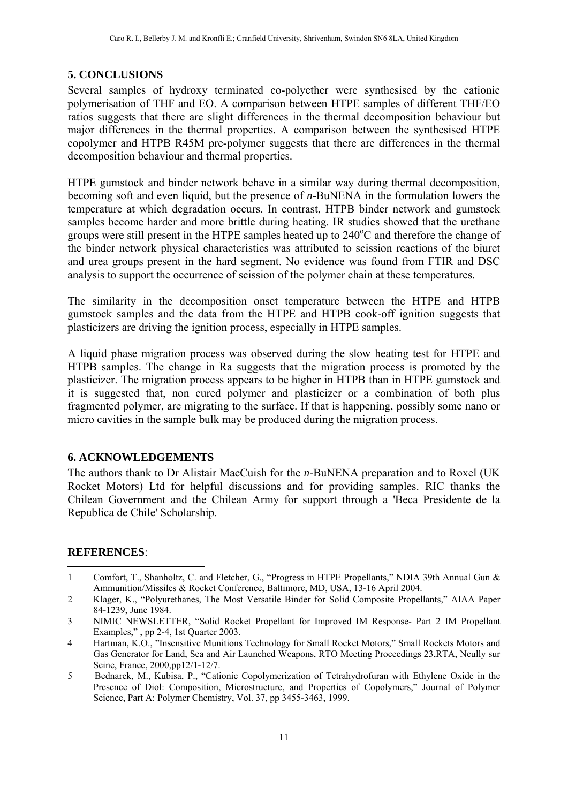# **5. CONCLUSIONS**

Several samples of hydroxy terminated co-polyether were synthesised by the cationic polymerisation of THF and EO. A comparison between HTPE samples of different THF/EO ratios suggests that there are slight differences in the thermal decomposition behaviour but major differences in the thermal properties. A comparison between the synthesised HTPE copolymer and HTPB R45M pre-polymer suggests that there are differences in the thermal decomposition behaviour and thermal properties.

HTPE gumstock and binder network behave in a similar way during thermal decomposition, becoming soft and even liquid, but the presence of *n*-BuNENA in the formulation lowers the temperature at which degradation occurs. In contrast, HTPB binder network and gumstock samples become harder and more brittle during heating. IR studies showed that the urethane groups were still present in the HTPE samples heated up to  $240^{\circ}$ C and therefore the change of the binder network physical characteristics was attributed to scission reactions of the biuret and urea groups present in the hard segment. No evidence was found from FTIR and DSC analysis to support the occurrence of scission of the polymer chain at these temperatures.

The similarity in the decomposition onset temperature between the HTPE and HTPB gumstock samples and the data from the HTPE and HTPB cook-off ignition suggests that plasticizers are driving the ignition process, especially in HTPE samples.

A liquid phase migration process was observed during the slow heating test for HTPE and HTPB samples. The change in Ra suggests that the migration process is promoted by the plasticizer. The migration process appears to be higher in HTPB than in HTPE gumstock and it is suggested that, non cured polymer and plasticizer or a combination of both plus fragmented polymer, are migrating to the surface. If that is happening, possibly some nano or micro cavities in the sample bulk may be produced during the migration process.

## **6. ACKNOWLEDGEMENTS**

The authors thank to Dr Alistair MacCuish for the *n*-BuNENA preparation and to Roxel (UK Rocket Motors) Ltd for helpful discussions and for providing samples. RIC thanks the Chilean Government and the Chilean Army for support through a 'Beca Presidente de la Republica de Chile' Scholarship.

## **REFERENCES**:

1 1 Comfort, T., Shanholtz, C. and Fletcher, G., "Progress in HTPE Propellants," NDIA 39th Annual Gun & Ammunition/Missiles & Rocket Conference, Baltimore, MD, USA, 13-16 April 2004.

- 3 NIMIC NEWSLETTER, "Solid Rocket Propellant for Improved IM Response- Part 2 IM Propellant Examples," , pp 2-4, 1st Quarter 2003.
- 4 Hartman, K.O., "Insensitive Munitions Technology for Small Rocket Motors," Small Rockets Motors and Gas Generator for Land, Sea and Air Launched Weapons, RTO Meeting Proceedings 23,RTA, Neully sur Seine, France, 2000,pp12/1-12/7.
- 5 Bednarek, M., Kubisa, P., "Cationic Copolymerization of Tetrahydrofuran with Ethylene Oxide in the Presence of Diol: Composition, Microstructure, and Properties of Copolymers," Journal of Polymer Science, Part A: Polymer Chemistry, Vol. 37, pp 3455-3463, 1999.

<sup>2</sup> Klager, K., "Polyurethanes, The Most Versatile Binder for Solid Composite Propellants," AIAA Paper 84-1239, June 1984.